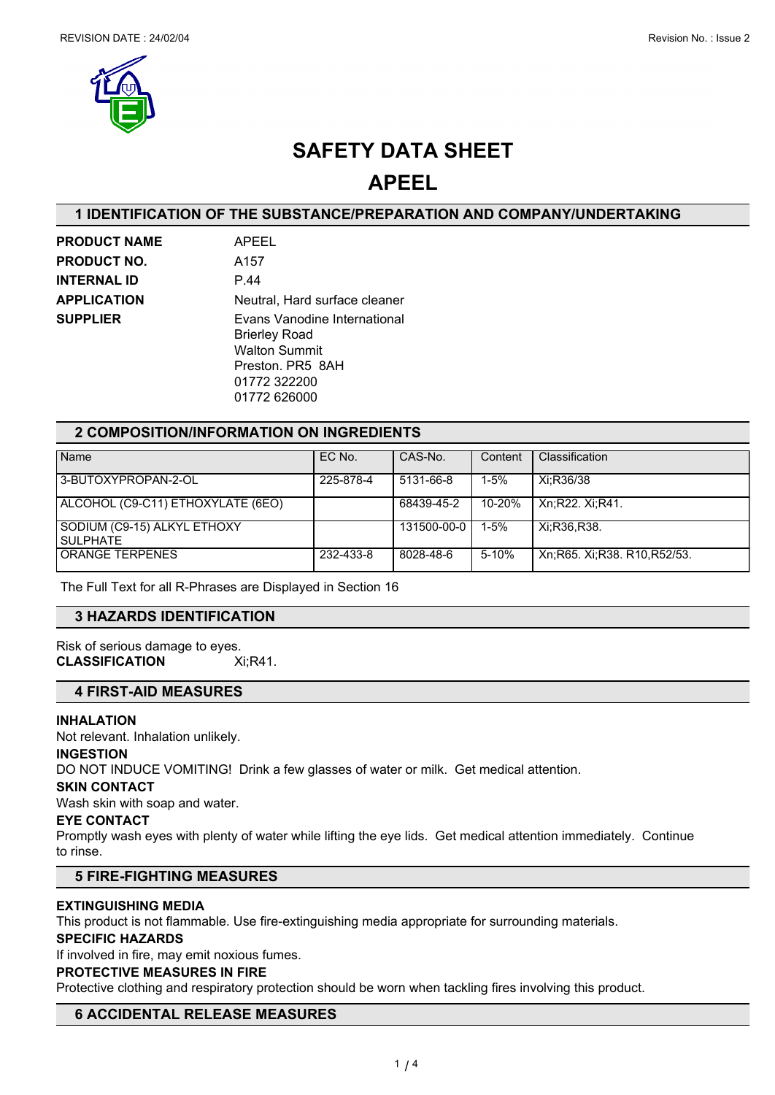

## **SAFETY DATA SHEET**

## **APEEL**

#### **1 IDENTIFICATION OF THE SUBSTANCE/PREPARATION AND COMPANY/UNDERTAKING**

| <b>PRODUCT NAME</b> | APEEL                                                                                                                            |
|---------------------|----------------------------------------------------------------------------------------------------------------------------------|
| <b>PRODUCT NO.</b>  | A157                                                                                                                             |
| <b>INTERNAL ID</b>  | P.44                                                                                                                             |
| <b>APPLICATION</b>  | Neutral, Hard surface cleaner                                                                                                    |
| <b>SUPPLIER</b>     | Evans Vanodine International<br><b>Brierley Road</b><br><b>Walton Summit</b><br>Preston, PR5 8AH<br>01772 322200<br>01772 626000 |

#### **2 COMPOSITION/INFORMATION ON INGREDIENTS**

| Name                                      | EC No.    | CAS-No.     | Content  | Classification                 |
|-------------------------------------------|-----------|-------------|----------|--------------------------------|
| 3-BUTOXYPROPAN-2-OL                       | 225-878-4 | 5131-66-8   | $1 - 5%$ | Xi:R36/38                      |
| ALCOHOL (C9-C11) ETHOXYLATE (6EO)         |           | 68439-45-2  | 10-20%   | Xn:R22, Xi:R41.                |
| SODIUM (C9-15) ALKYL ETHOXY<br>  SULPHATE |           | 131500-00-0 | $1 - 5%$ | Xi:R36.R38.                    |
| <b>ORANGE TERPENES</b>                    | 232-433-8 | 8028-48-6   | 5-10%    | Xn; R65. Xi; R38. R10, R52/53. |

The Full Text for all R-Phrases are Displayed in Section 16

#### **3 HAZARDS IDENTIFICATION**

Risk of serious damage to eyes. **CLASSIFICATION** Xi;R41.

### **4 FIRST-AID MEASURES**

#### **INHALATION**

Not relevant. Inhalation unlikely.

#### **INGESTION**

DO NOT INDUCE VOMITING! Drink a few glasses of water or milk. Get medical attention.

#### **SKIN CONTACT**

Wash skin with soap and water.

#### **EYE CONTACT**

Promptly wash eyes with plenty of water while lifting the eye lids. Get medical attention immediately. Continue to rinse.

#### **5 FIRE-FIGHTING MEASURES**

#### **EXTINGUISHING MEDIA**

This product is not flammable. Use fire-extinguishing media appropriate for surrounding materials.

#### **SPECIFIC HAZARDS**

If involved in fire, may emit noxious fumes.

#### **PROTECTIVE MEASURES IN FIRE**

Protective clothing and respiratory protection should be worn when tackling fires involving this product.

#### **6 ACCIDENTAL RELEASE MEASURES**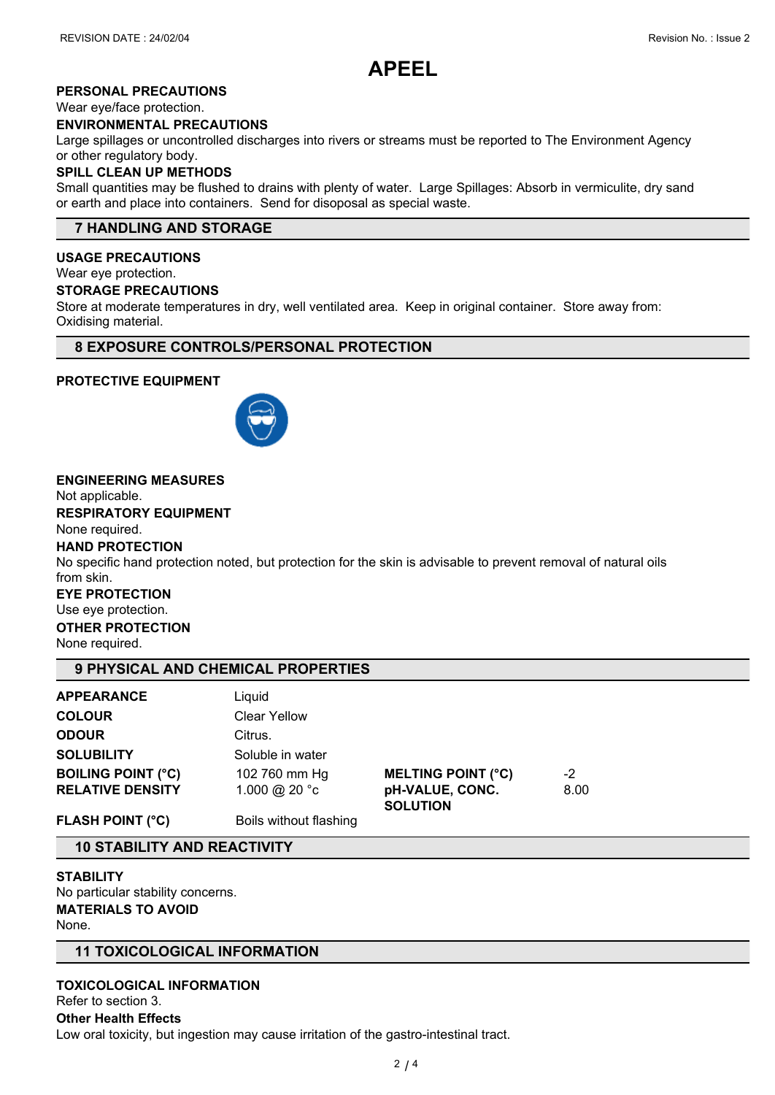

#### **PERSONAL PRECAUTIONS**

Wear eye/face protection.

#### **ENVIRONMENTAL PRECAUTIONS**

Large spillages or uncontrolled discharges into rivers or streams must be reported to The Environment Agency or other regulatory body.

#### **SPILL CLEAN UP METHODS**

Small quantities may be flushed to drains with plenty of water. Large Spillages: Absorb in vermiculite, dry sand or earth and place into containers. Send for disoposal as special waste.

#### **7 HANDLING AND STORAGE**

#### **USAGE PRECAUTIONS**

Wear eye protection.

#### **STORAGE PRECAUTIONS**

Store at moderate temperatures in dry, well ventilated area. Keep in original container. Store away from: Oxidising material.

#### **8 EXPOSURE CONTROLS/PERSONAL PROTECTION**

#### **PROTECTIVE EQUIPMENT**



#### **ENGINEERING MEASURES**

Not applicable.

**RESPIRATORY EQUIPMENT**

None required.

#### **HAND PROTECTION**

No specific hand protection noted, but protection for the skin is advisable to prevent removal of natural oils from skin.

#### **EYE PROTECTION**

Use eye protection.

#### **OTHER PROTECTION**

None required.

#### **9 PHYSICAL AND CHEMICAL PROPERTIES**

| <b>APPEARANCE</b>         | Liquid                 |                                    |      |  |
|---------------------------|------------------------|------------------------------------|------|--|
| <b>COLOUR</b>             | <b>Clear Yellow</b>    |                                    |      |  |
| <b>ODOUR</b>              | Citrus.                |                                    |      |  |
| <b>SOLUBILITY</b>         | Soluble in water       |                                    |      |  |
| <b>BOILING POINT (°C)</b> | 102 760 mm Hg          | <b>MELTING POINT (°C)</b>          | $-2$ |  |
| <b>RELATIVE DENSITY</b>   | 1.000 @ 20 °c          | pH-VALUE, CONC.<br><b>SOLUTION</b> | 8.00 |  |
| <b>FLASH POINT (°C)</b>   | Boils without flashing |                                    |      |  |

## **10 STABILITY AND REACTIVITY**

**STABILITY** No particular stability concerns. **MATERIALS TO AVOID** None.

#### **11 TOXICOLOGICAL INFORMATION**

**TOXICOLOGICAL INFORMATION** Refer to section 3. **Other Health Effects** Low oral toxicity, but ingestion may cause irritation of the gastro-intestinal tract.

 $2/4$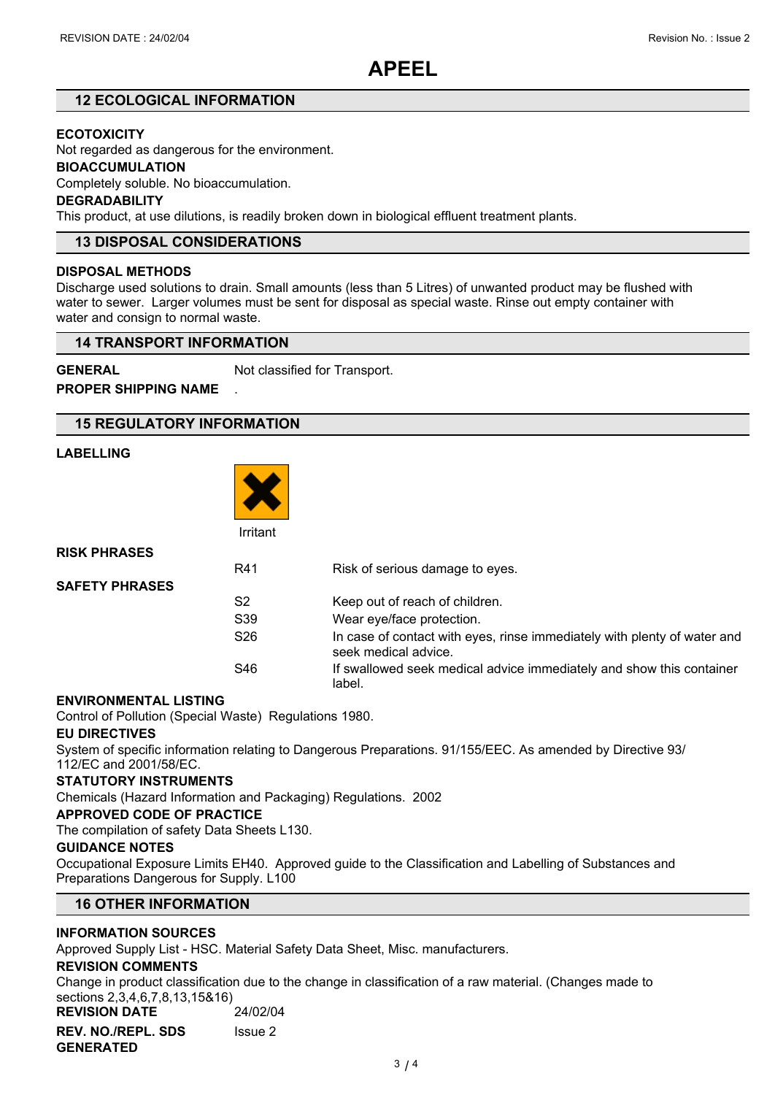## **APEEL**

#### **12 ECOLOGICAL INFORMATION**

#### **ECOTOXICITY**

Not regarded as dangerous for the environment.

#### **BIOACCUMULATION**

Completely soluble. No bioaccumulation.

#### **DEGRADABILITY**

This product, at use dilutions, is readily broken down in biological effluent treatment plants.

#### **13 DISPOSAL CONSIDERATIONS**

#### **DISPOSAL METHODS**

Discharge used solutions to drain. Small amounts (less than 5 Litres) of unwanted product may be flushed with water to sewer. Larger volumes must be sent for disposal as special waste. Rinse out empty container with water and consign to normal waste.

#### **14 TRANSPORT INFORMATION**

**GENERAL** Not classified for Transport.

**PROPER SHIPPING NAME** .

#### **15 REGULATORY INFORMATION**

#### **LABELLING**



Irritant

| <b>RISK PHRASES</b>   |                 |                                                                                                  |
|-----------------------|-----------------|--------------------------------------------------------------------------------------------------|
|                       | R41             | Risk of serious damage to eyes.                                                                  |
| <b>SAFETY PHRASES</b> |                 |                                                                                                  |
|                       | S2              | Keep out of reach of children.                                                                   |
|                       | S <sub>39</sub> | Wear eye/face protection.                                                                        |
|                       | S <sub>26</sub> | In case of contact with eyes, rinse immediately with plenty of water and<br>seek medical advice. |
|                       | S46             | If swallowed seek medical advice immediately and show this container<br>label.                   |

#### **ENVIRONMENTAL LISTING**

Control of Pollution (Special Waste) Regulations 1980.

#### **EU DIRECTIVES**

System of specific information relating to Dangerous Preparations. 91/155/EEC. As amended by Directive 93/ 112/EC and 2001/58/EC.

#### **STATUTORY INSTRUMENTS**

Chemicals (Hazard Information and Packaging) Regulations. 2002

#### **APPROVED CODE OF PRACTICE**

The compilation of safety Data Sheets L130.

#### **GUIDANCE NOTES**

Occupational Exposure Limits EH40. Approved guide to the Classification and Labelling of Substances and Preparations Dangerous for Supply. L100

#### **16 OTHER INFORMATION**

#### **INFORMATION SOURCES**

Approved Supply List - HSC. Material Safety Data Sheet, Misc. manufacturers.

#### **REVISION COMMENTS**

Change in product classification due to the change in classification of a raw material. (Changes made to sections 2,3,4,6,7,8,13,15&16)

**REVISION DATE** 24/02/04 **REV. NO./REPL. SDS GENERATED** Issue 2